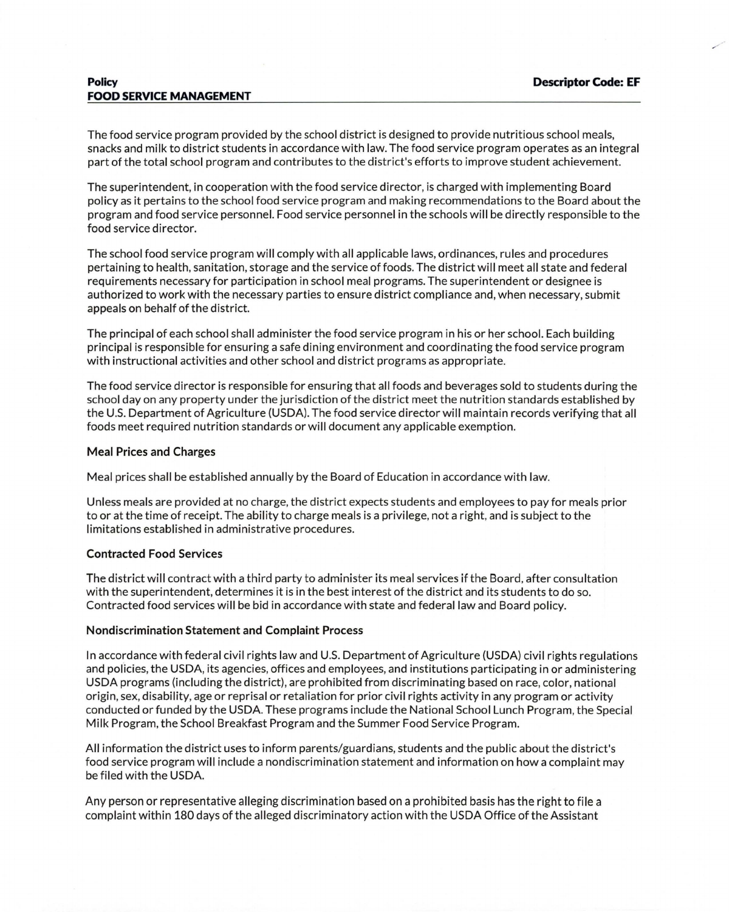The food service program provided by the school district is designed to provide nutritious school meals, snacks and milk to district students in accordance with law. The food service program operates as an integral part of the total school program and contributes to the district's efforts to improve student achievement.

The superintendent, in cooperation with the food service director, is charged with implementing Board policy as it pertains to the school food service program and making recommendations to the Board about the program and food service personnel. Food service personnel in the schools will be directly responsible to the food service director.

The school food service program will comply with all applicable laws, ordinances, rules and procedures pertaining to health, sanitation, storage and the service of foods. The district will meet all state and federal requirements necessary for participation in school meal programs. The superintendent or designee is authorized to work with the necessary parties to ensure district compliance and, when necessary, submit appeals on behalf of the district.

The principal of each school shall administer the food service program in his or her school. Each building principal is responsible for ensuring a safe dining environment and coordinating the food service program with instructional activities and other school and district programs as appropriate.

The food service director is responsible for ensuring that all foods and beverages sold to students during the school day on any property under the jurisdiction of the district meet the nutrition standards established by the U.S. Department of Agriculture (USDA). The food service director will maintain records verifying that all foods meet required nutrition standards or will document any applicable exemption.

## Meal Prices and Charges

Meal prices shall be established annually by the Board of Education in accordance with law.

Unless meals are provided at no charge, the district expects students and employees to pay for meals prior to or at the time of receipt. The ability to charge meals is a privilege, not a right, and is subject to the limitations established in administrative procedures.

# Contracted Food Services

The district will contract with a third party to administer its meal services if the Board, after consultation with the superintendent, determines it is in the best interest of the district and its students to do so. Contracted food services will be bid in accordance with state and federal law and Board policy.

### Nondiscrimination Statement and Complaint Process

In accordance with federal civil rights law and U.S. Department of Agriculture (USDA) civil rights regulations and policies, the USDA, its agencies, offices and employees, and institutions participating in or administering USDA programs (including the district), are prohibited from discriminating based on race, color, national origin, sex, disability, age or reprisal or retaliation for prior civil rights activity in any program or activity conducted or funded by the USDA. These programs include the National School Lunch Program, the Special Milk Program, the School Breakfast Program and the Summer Food Service Program.

All information the district uses to inform parents/guardians, students and the public about the district's food service program will include a nondiscrimination statement and information on how a complaint may be filed with the USDA.

Any person or representative alleging discrimination based on a prohibited basis has the right to file a complaint within 180 days of the alleged discriminatory action with the USDA Office of the Assistant